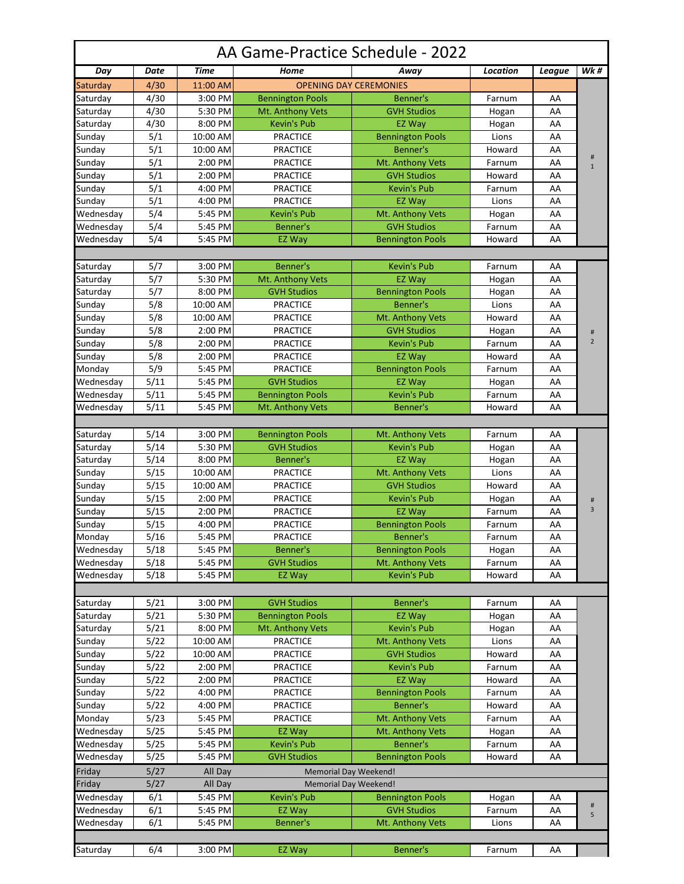| AA Game-Practice Schedule - 2022 |              |                     |                                               |                                          |                 |          |                               |  |  |  |  |  |
|----------------------------------|--------------|---------------------|-----------------------------------------------|------------------------------------------|-----------------|----------|-------------------------------|--|--|--|--|--|
| Day                              | <b>Date</b>  | <b>Time</b>         | Home                                          | Away                                     | <b>Location</b> | League   | <b>Wk#</b>                    |  |  |  |  |  |
| Saturday                         | 4/30         | 11:00 AM            |                                               | <b>OPENING DAY CEREMONIES</b>            |                 |          |                               |  |  |  |  |  |
| Saturday                         | 4/30         | 3:00 PM             | <b>Bennington Pools</b>                       | <b>Benner's</b>                          | Farnum          | AA       |                               |  |  |  |  |  |
| Saturday                         | 4/30         | 5:30 PM             | Mt. Anthony Vets                              | <b>GVH Studios</b>                       | Hogan           | AA       |                               |  |  |  |  |  |
| Saturday                         | 4/30         | 8:00 PM             | <b>Kevin's Pub</b>                            | <b>EZ Way</b>                            | Hogan           | AA       |                               |  |  |  |  |  |
| Sunday                           | 5/1          | 10:00 AM            | <b>PRACTICE</b>                               | <b>Bennington Pools</b>                  | Lions           | AA       |                               |  |  |  |  |  |
| Sunday                           | 5/1          | $10:00$ AM          | <b>PRACTICE</b>                               | Benner's                                 | Howard          | AA       | $\sharp$                      |  |  |  |  |  |
| Sunday                           | 5/1          | 2:00 PM             | <b>PRACTICE</b>                               | Mt. Anthony Vets                         | Farnum          | AA       | $\mathbf{1}$                  |  |  |  |  |  |
| Sunday                           | 5/1          | 2:00 PM             | <b>PRACTICE</b>                               | <b>GVH Studios</b>                       | Howard          | AA       |                               |  |  |  |  |  |
| Sunday                           | 5/1          | 4:00 PM             | <b>PRACTICE</b>                               | <b>Kevin's Pub</b>                       | Farnum          | AA       |                               |  |  |  |  |  |
| Sunday                           | 5/1          | 4:00 PM             | <b>PRACTICE</b>                               | <b>EZ Way</b>                            | Lions           | AA       |                               |  |  |  |  |  |
| Wednesday                        | 5/4          | 5:45 PM             | <b>Kevin's Pub</b>                            | Mt. Anthony Vets                         | Hogan           | AA       |                               |  |  |  |  |  |
| Wednesday                        | 5/4          | 5:45 PM             | Benner's                                      | <b>GVH Studios</b>                       | Farnum          | AA       |                               |  |  |  |  |  |
| Wednesday                        | 5/4          | 5:45 PM             | EZ Way                                        | <b>Bennington Pools</b>                  | Howard          | AA       |                               |  |  |  |  |  |
|                                  |              |                     |                                               |                                          |                 |          |                               |  |  |  |  |  |
| Saturday                         | 5/7          | 3:00 PM             | Benner's                                      | <b>Kevin's Pub</b>                       | Farnum          | AA       |                               |  |  |  |  |  |
| Saturday                         | 5/7          | 5:30 PM             | Mt. Anthony Vets                              | <b>EZ Way</b>                            | Hogan           | AA       |                               |  |  |  |  |  |
| Saturday                         | 5/7          | 8:00 PM             | <b>GVH Studios</b>                            | <b>Bennington Pools</b>                  | Hogan           | AA       |                               |  |  |  |  |  |
| Sunday                           | 5/8          | 10:00 AM            | <b>PRACTICE</b>                               | Benner's                                 | Lions           | AA       |                               |  |  |  |  |  |
| Sunday                           | 5/8          | 10:00 AM            | <b>PRACTICE</b>                               | Mt. Anthony Vets                         | Howard          | AA       |                               |  |  |  |  |  |
| Sunday                           | 5/8          | 2:00 PM             | <b>PRACTICE</b>                               | <b>GVH Studios</b>                       | Hogan           | AA       | $\sharp\hspace{-0.8em}\sharp$ |  |  |  |  |  |
| Sunday                           | 5/8          | 2:00 PM             | <b>PRACTICE</b>                               | <b>Kevin's Pub</b>                       | Farnum          | AA       | $\overline{2}$                |  |  |  |  |  |
| Sunday                           | 5/8          | 2:00 PM             | <b>PRACTICE</b>                               | <b>EZ Way</b>                            | Howard          | AA       |                               |  |  |  |  |  |
| Monday                           | 5/9          | 5:45 PM             | <b>PRACTICE</b>                               | <b>Bennington Pools</b>                  | Farnum          | AA       |                               |  |  |  |  |  |
| Wednesday                        | 5/11         | 5:45 PM             | <b>GVH Studios</b>                            | EZ Way                                   | Hogan           | AA       |                               |  |  |  |  |  |
| Wednesday                        | 5/11         | 5:45 PM             | <b>Bennington Pools</b>                       | <b>Kevin's Pub</b>                       | Farnum          | AA       |                               |  |  |  |  |  |
| Wednesday                        | 5/11         | 5:45 PM             | Mt. Anthony Vets                              | Benner's                                 | Howard          | AA       |                               |  |  |  |  |  |
|                                  |              |                     |                                               |                                          |                 |          |                               |  |  |  |  |  |
| Saturday                         | 5/14         | 3:00 PM             | <b>Bennington Pools</b>                       | Mt. Anthony Vets                         | Farnum          | AA       |                               |  |  |  |  |  |
| Saturday                         | 5/14         | 5:30 PM             | <b>GVH Studios</b>                            | <b>Kevin's Pub</b>                       | Hogan           | AA       |                               |  |  |  |  |  |
| Saturday                         | 5/14         | 8:00 PM             | Benner's                                      | <b>EZ Way</b>                            | Hogan           | AA       |                               |  |  |  |  |  |
| Sunday                           | 5/15         | 10:00 AM            | <b>PRACTICE</b>                               | Mt. Anthony Vets                         | Lions           | AA       |                               |  |  |  |  |  |
| Sunday                           | 5/15         | 10:00 AM            | <b>PRACTICE</b>                               | <b>GVH Studios</b>                       | Howard          | AA       |                               |  |  |  |  |  |
| Sunday                           | 5/15         | 2:00 PM             | <b>PRACTICE</b>                               | <b>Kevin's Pub</b>                       | Hogan           | AA       |                               |  |  |  |  |  |
| Sunday                           | 5/15         | $2:00$ PM           | <b>PRACTICE</b>                               | EZ Way                                   | Farnum          | AA       | $\sharp$<br>$\overline{3}$    |  |  |  |  |  |
| Sunday                           | 5/15         | 4:00 PM             | <b>PRACTICE</b>                               | <b>Bennington Pools</b>                  | Farnum          | AA       |                               |  |  |  |  |  |
| Monday                           | 5/16         | 5:45 PM             | <b>PRACTICE</b>                               | Benner's                                 | Farnum          | AA       |                               |  |  |  |  |  |
| Wednesday                        | 5/18         | 5:45 PM             | Benner's                                      | <b>Bennington Pools</b>                  | Hogan           | AA       |                               |  |  |  |  |  |
| Wednesday                        | 5/18         | 5:45 PM             | <b>GVH Studios</b>                            | Mt. Anthony Vets                         | Farnum          | AA       |                               |  |  |  |  |  |
| Wednesday                        | 5/18         | 5:45 PM             | EZ Way                                        | <b>Kevin's Pub</b>                       | Howard          | AA       |                               |  |  |  |  |  |
|                                  |              |                     |                                               |                                          |                 |          |                               |  |  |  |  |  |
|                                  |              |                     |                                               |                                          |                 |          |                               |  |  |  |  |  |
| Saturday<br>Saturday             | 5/21<br>5/21 | 3:00 PM<br>5:30 PM  | <b>GVH Studios</b><br><b>Bennington Pools</b> | Benner's<br>EZ Way                       | Farnum          | AA<br>AA |                               |  |  |  |  |  |
|                                  | 5/21         |                     | Mt. Anthony Vets                              | <b>Kevin's Pub</b>                       | Hogan           |          |                               |  |  |  |  |  |
| Saturday                         |              | 8:00 PM             |                                               |                                          | Hogan           | AA       |                               |  |  |  |  |  |
| Sunday                           | 5/22         | 10:00 AM            | <b>PRACTICE</b>                               | Mt. Anthony Vets                         | Lions           | AA       |                               |  |  |  |  |  |
| Sunday                           | 5/22         | 10:00 AM<br>2:00 PM | <b>PRACTICE</b>                               | <b>GVH Studios</b><br><b>Kevin's Pub</b> | Howard          | AA       |                               |  |  |  |  |  |
| Sunday                           | 5/22<br>5/22 | 2:00 PM             | <b>PRACTICE</b><br><b>PRACTICE</b>            | <b>EZ Way</b>                            | Farnum          | AA<br>AA |                               |  |  |  |  |  |
| Sunday                           |              |                     |                                               |                                          | Howard          |          |                               |  |  |  |  |  |
| Sunday                           | 5/22         | 4:00 PM             | <b>PRACTICE</b>                               | <b>Bennington Pools</b>                  | Farnum          | AA       |                               |  |  |  |  |  |
| Sunday                           | 5/22         | 4:00 PM             | <b>PRACTICE</b>                               | Benner's                                 | Howard          | AA       |                               |  |  |  |  |  |
| Monday                           | 5/23         | 5:45 PM             | <b>PRACTICE</b>                               | Mt. Anthony Vets                         | Farnum          | AA       |                               |  |  |  |  |  |
| Wednesday                        | 5/25         | 5:45 PM             | EZ Way                                        | Mt. Anthony Vets                         | Hogan           | AA       |                               |  |  |  |  |  |
| Wednesday                        | 5/25         | 5:45 PM             | Kevin's Pub                                   | Benner's                                 | Farnum          | AA       |                               |  |  |  |  |  |
| Wednesday                        | 5/25         | 5:45 PM             | <b>GVH Studios</b>                            | <b>Bennington Pools</b>                  | Howard          | AA       |                               |  |  |  |  |  |
| Friday                           | 5/27         | All Day             | Memorial Day Weekend!                         |                                          |                 |          |                               |  |  |  |  |  |
| Friday                           | 5/27         | All Day             | <b>Memorial Day Weekend!</b>                  |                                          |                 |          |                               |  |  |  |  |  |
| Wednesday                        | 6/1          | 5:45 PM             | Kevin's Pub                                   | <b>Bennington Pools</b>                  | Hogan           | AA       | #                             |  |  |  |  |  |
| Wednesday                        | 6/1          | 5:45 PM             | EZ Way                                        | <b>GVH Studios</b>                       | Farnum          | AA       | 5                             |  |  |  |  |  |
| Wednesday                        | 6/1          | 5:45 PM             | <b>Benner's</b>                               | Mt. Anthony Vets                         | Lions           | AA       |                               |  |  |  |  |  |
|                                  |              |                     |                                               |                                          |                 |          |                               |  |  |  |  |  |
| Saturday                         | 6/4          | 3:00 PM             | EZ Way                                        | Benner's                                 | Farnum          | AA       |                               |  |  |  |  |  |